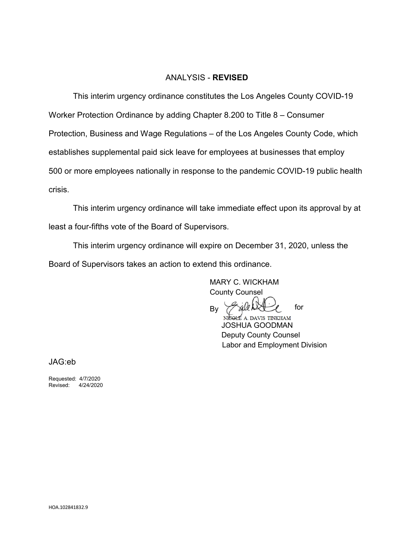#### ANALYSIS - **REVISED**

This interim urgency ordinance constitutes the Los Angeles County COVID-19 Worker Protection Ordinance by adding Chapter 8.200 to Title 8 – Consumer Protection, Business and Wage Regulations – of the Los Angeles County Code, which establishes supplemental paid sick leave for employees at businesses that employ 500 or more employees nationally in response to the pandemic COVID-19 public health crisis.

This interim urgency ordinance will take immediate effect upon its approval by at least a four-fifths vote of the Board of Supervisors.

This interim urgency ordinance will expire on December 31, 2020, unless the Board of Supervisors takes an action to extend this ordinance.

> MARY C. WICKHAM County Counsel

xile N By

NIGHTE A. DAVIS TINKHAM JOSHUA GOODMAN Deputy County Counsel Labor and Employment Division

for

JAG:eb

Requested: 4/7/2020 Revised: 4/24/2020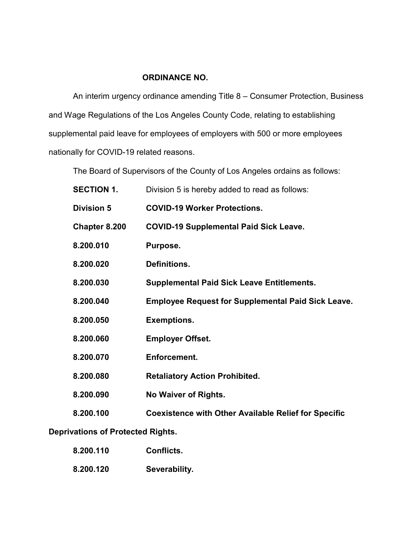## **ORDINANCE NO.**

An interim urgency ordinance amending Title 8 – Consumer Protection, Business and Wage Regulations of the Los Angeles County Code, relating to establishing supplemental paid leave for employees of employers with 500 or more employees nationally for COVID-19 related reasons.

The Board of Supervisors of the County of Los Angeles ordains as follows:

| <b>SECTION 1.</b> | Division 5 is hereby added to read as follows:              |
|-------------------|-------------------------------------------------------------|
| <b>Division 5</b> | <b>COVID-19 Worker Protections.</b>                         |
| Chapter 8.200     | <b>COVID-19 Supplemental Paid Sick Leave.</b>               |
| 8.200.010         | Purpose.                                                    |
| 8.200.020         | Definitions.                                                |
| 8.200.030         | <b>Supplemental Paid Sick Leave Entitlements.</b>           |
| 8.200.040         | <b>Employee Request for Supplemental Paid Sick Leave.</b>   |
| 8.200.050         | <b>Exemptions.</b>                                          |
| 8.200.060         | <b>Employer Offset.</b>                                     |
| 8.200.070         | <b>Enforcement.</b>                                         |
| 8.200.080         | <b>Retaliatory Action Prohibited.</b>                       |
| 8.200.090         | <b>No Waiver of Rights.</b>                                 |
| 8.200.100         | <b>Coexistence with Other Available Relief for Specific</b> |
|                   |                                                             |

# **Deprivations of Protected Rights.**

| 8.200.110 | Conflicts.    |
|-----------|---------------|
| 8.200.120 | Severability. |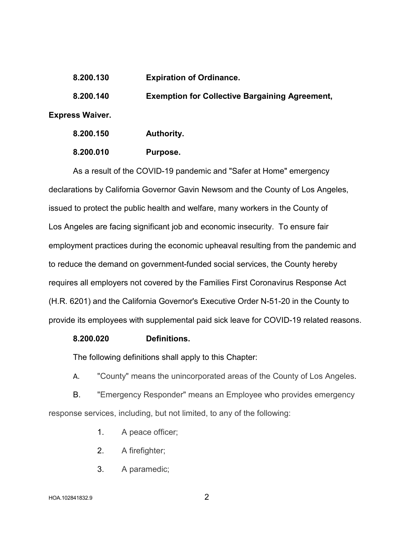| 8.200.130              | <b>Expiration of Ordinance.</b>                       |
|------------------------|-------------------------------------------------------|
| 8.200.140              | <b>Exemption for Collective Bargaining Agreement,</b> |
| <b>Express Waiver.</b> |                                                       |
| 8.200.150              | Authority.                                            |
|                        |                                                       |

**8.200.010 Purpose.** 

As a result of the COVID-19 pandemic and "Safer at Home" emergency declarations by California Governor Gavin Newsom and the County of Los Angeles, issued to protect the public health and welfare, many workers in the County of Los Angeles are facing significant job and economic insecurity. To ensure fair employment practices during the economic upheaval resulting from the pandemic and to reduce the demand on government-funded social services, the County hereby requires all employers not covered by the Families First Coronavirus Response Act (H.R. 6201) and the California Governor's Executive Order N-51-20 in the County to provide its employees with supplemental paid sick leave for COVID-19 related reasons.

#### **8.200.020 Definitions.**

The following definitions shall apply to this Chapter:

A. "County" means the unincorporated areas of the County of Los Angeles.

B. "Emergency Responder" means an Employee who provides emergency response services, including, but not limited, to any of the following:

- 1. A peace officer;
- 2. A firefighter;
- 3. A paramedic;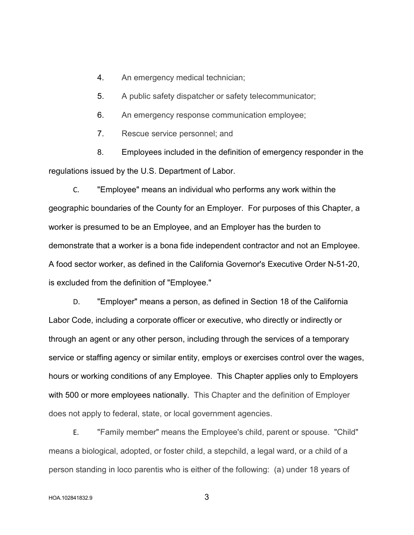4. An emergency medical technician;

5. A public safety dispatcher or safety telecommunicator;

6. An emergency response communication employee;

7. Rescue service personnel; and

8. Employees included in the definition of emergency responder in the regulations issued by the U.S. Department of Labor.

C. "Employee" means an individual who performs any work within the geographic boundaries of the County for an Employer. For purposes of this Chapter, a worker is presumed to be an Employee, and an Employer has the burden to demonstrate that a worker is a bona fide independent contractor and not an Employee. A food sector worker, as defined in the California Governor's Executive Order N-51-20, is excluded from the definition of "Employee."

D. "Employer" means a person, as defined in Section 18 of the California Labor Code, including a corporate officer or executive, who directly or indirectly or through an agent or any other person, including through the services of a temporary service or staffing agency or similar entity, employs or exercises control over the wages, hours or working conditions of any Employee. This Chapter applies only to Employers with 500 or more employees nationally. This Chapter and the definition of Employer does not apply to federal, state, or local government agencies.

E. "Family member" means the Employee's child, parent or spouse. "Child" means a biological, adopted, or foster child, a stepchild, a legal ward, or a child of a person standing in loco parentis who is either of the following: (a) under 18 years of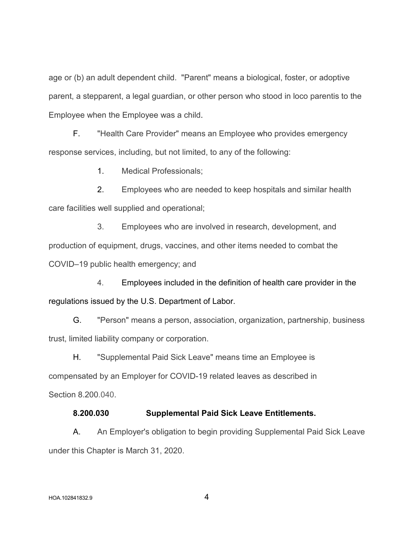age or (b) an adult dependent child. "Parent" means a biological, foster, or adoptive parent, a stepparent, a legal guardian, or other person who stood in loco parentis to the Employee when the Employee was a child.

F. "Health Care Provider" means an Employee who provides emergency response services, including, but not limited, to any of the following:

1. Medical Professionals;

2. Employees who are needed to keep hospitals and similar health care facilities well supplied and operational;

3. Employees who are involved in research, development, and production of equipment, drugs, vaccines, and other items needed to combat the COVID–19 public health emergency; and

4. Employees included in the definition of health care provider in the regulations issued by the U.S. Department of Labor.

G. "Person" means a person, association, organization, partnership, business trust, limited liability company or corporation.

H. "Supplemental Paid Sick Leave" means time an Employee is compensated by an Employer for COVID-19 related leaves as described in Section 8.200.040.

#### **8.200.030 Supplemental Paid Sick Leave Entitlements.**

A. An Employer's obligation to begin providing Supplemental Paid Sick Leave under this Chapter is March 31, 2020.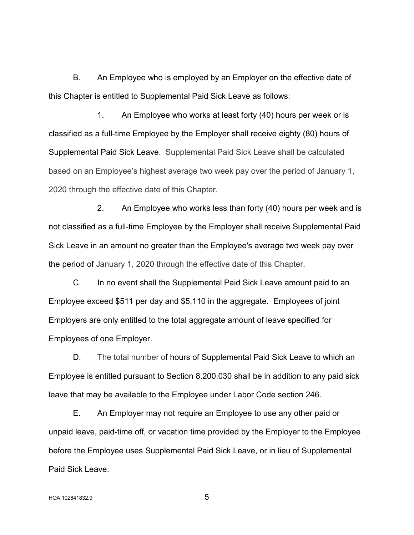B. An Employee who is employed by an Employer on the effective date of this Chapter is entitled to Supplemental Paid Sick Leave as follows:

1. An Employee who works at least forty (40) hours per week or is classified as a full-time Employee by the Employer shall receive eighty (80) hours of Supplemental Paid Sick Leave. Supplemental Paid Sick Leave shall be calculated based on an Employee's highest average two week pay over the period of January 1, 2020 through the effective date of this Chapter.

2. An Employee who works less than forty (40) hours per week and is not classified as a full-time Employee by the Employer shall receive Supplemental Paid Sick Leave in an amount no greater than the Employee's average two week pay over the period of January 1, 2020 through the effective date of this Chapter.

C. In no event shall the Supplemental Paid Sick Leave amount paid to an Employee exceed \$511 per day and \$5,110 in the aggregate. Employees of joint Employers are only entitled to the total aggregate amount of leave specified for Employees of one Employer.

D. The total number of hours of Supplemental Paid Sick Leave to which an Employee is entitled pursuant to Section 8.200.030 shall be in addition to any paid sick leave that may be available to the Employee under Labor Code section 246.

E. An Employer may not require an Employee to use any other paid or unpaid leave, paid-time off, or vacation time provided by the Employer to the Employee before the Employee uses Supplemental Paid Sick Leave, or in lieu of Supplemental Paid Sick Leave.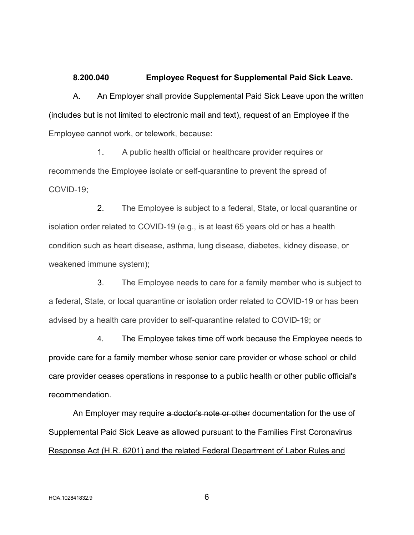#### **8.200.040 Employee Request for Supplemental Paid Sick Leave.**

A. An Employer shall provide Supplemental Paid Sick Leave upon the written (includes but is not limited to electronic mail and text), request of an Employee if the Employee cannot work, or telework, because:

1. A public health official or healthcare provider requires or recommends the Employee isolate or self-quarantine to prevent the spread of COVID-19;

2. The Employee is subject to a federal, State, or local quarantine or isolation order related to COVID-19 (e.g., is at least 65 years old or has a health condition such as heart disease, asthma, lung disease, diabetes, kidney disease, or weakened immune system);

3. The Employee needs to care for a family member who is subject to a federal, State, or local quarantine or isolation order related to COVID-19 or has been advised by a health care provider to self-quarantine related to COVID-19; or

4. The Employee takes time off work because the Employee needs to provide care for a family member whose senior care provider or whose school or child care provider ceases operations in response to a public health or other public official's recommendation.

An Employer may require a doctor's note or other documentation for the use of Supplemental Paid Sick Leave as allowed pursuant to the Families First Coronavirus Response Act (H.R. 6201) and the related Federal Department of Labor Rules and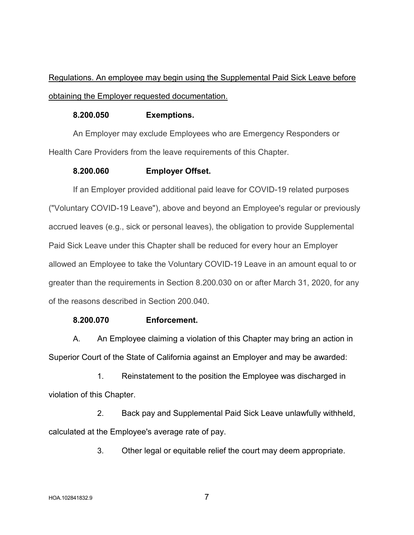# Regulations. An employee may begin using the Supplemental Paid Sick Leave before obtaining the Employer requested documentation.

### **8.200.050 Exemptions.**

An Employer may exclude Employees who are Emergency Responders or Health Care Providers from the leave requirements of this Chapter.

### **8.200.060 Employer Offset.**

If an Employer provided additional paid leave for COVID-19 related purposes ("Voluntary COVID-19 Leave"), above and beyond an Employee's regular or previously accrued leaves (e.g., sick or personal leaves), the obligation to provide Supplemental Paid Sick Leave under this Chapter shall be reduced for every hour an Employer allowed an Employee to take the Voluntary COVID-19 Leave in an amount equal to or greater than the requirements in Section 8.200.030 on or after March 31, 2020, for any of the reasons described in Section 200.040.

## **8.200.070 Enforcement.**

A. An Employee claiming a violation of this Chapter may bring an action in Superior Court of the State of California against an Employer and may be awarded:

1. Reinstatement to the position the Employee was discharged in violation of this Chapter.

2. Back pay and Supplemental Paid Sick Leave unlawfully withheld, calculated at the Employee's average rate of pay.

3. Other legal or equitable relief the court may deem appropriate.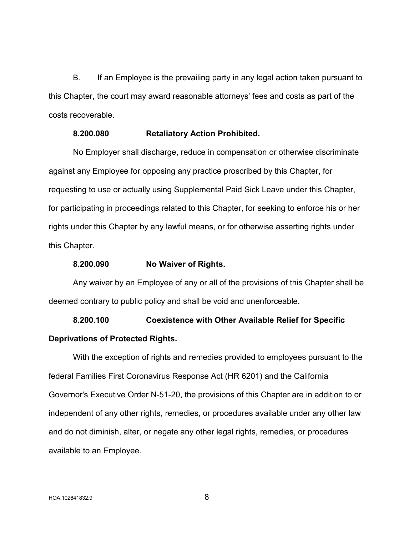B. If an Employee is the prevailing party in any legal action taken pursuant to this Chapter, the court may award reasonable attorneys' fees and costs as part of the costs recoverable.

#### **8.200.080 Retaliatory Action Prohibited.**

No Employer shall discharge, reduce in compensation or otherwise discriminate against any Employee for opposing any practice proscribed by this Chapter, for requesting to use or actually using Supplemental Paid Sick Leave under this Chapter, for participating in proceedings related to this Chapter, for seeking to enforce his or her rights under this Chapter by any lawful means, or for otherwise asserting rights under this Chapter.

#### **8.200.090 No Waiver of Rights.**

Any waiver by an Employee of any or all of the provisions of this Chapter shall be deemed contrary to public policy and shall be void and unenforceable.

**8.200.100 Coexistence with Other Available Relief for Specific Deprivations of Protected Rights.** 

With the exception of rights and remedies provided to employees pursuant to the federal Families First Coronavirus Response Act (HR 6201) and the California Governor's Executive Order N-51-20, the provisions of this Chapter are in addition to or independent of any other rights, remedies, or procedures available under any other law and do not diminish, alter, or negate any other legal rights, remedies, or procedures available to an Employee.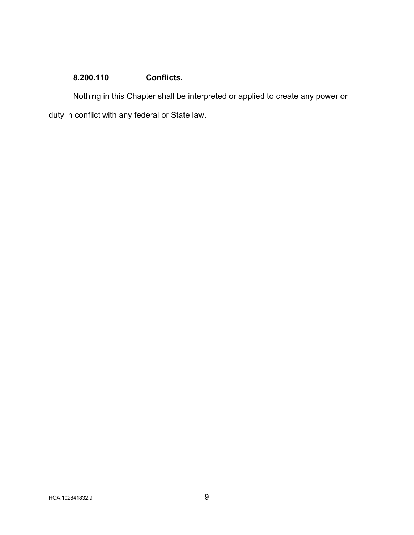# **8.200.110 Conflicts.**

Nothing in this Chapter shall be interpreted or applied to create any power or duty in conflict with any federal or State law.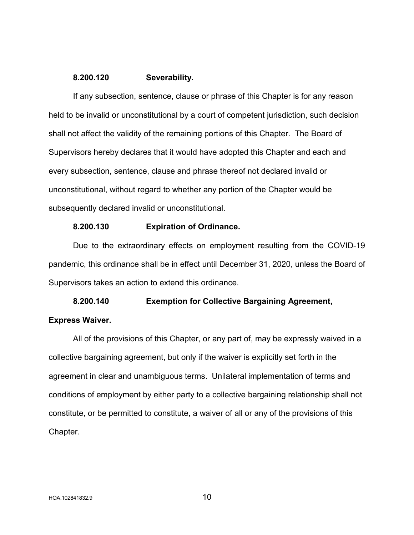#### **8.200.120 Severability.**

If any subsection, sentence, clause or phrase of this Chapter is for any reason held to be invalid or unconstitutional by a court of competent jurisdiction, such decision shall not affect the validity of the remaining portions of this Chapter. The Board of Supervisors hereby declares that it would have adopted this Chapter and each and every subsection, sentence, clause and phrase thereof not declared invalid or unconstitutional, without regard to whether any portion of the Chapter would be subsequently declared invalid or unconstitutional.

#### **8.200.130 Expiration of Ordinance.**

Due to the extraordinary effects on employment resulting from the COVID-19 pandemic, this ordinance shall be in effect until December 31, 2020, unless the Board of Supervisors takes an action to extend this ordinance.

**8.200.140 Exemption for Collective Bargaining Agreement, Express Waiver.** 

All of the provisions of this Chapter, or any part of, may be expressly waived in a collective bargaining agreement, but only if the waiver is explicitly set forth in the agreement in clear and unambiguous terms. Unilateral implementation of terms and conditions of employment by either party to a collective bargaining relationship shall not constitute, or be permitted to constitute, a waiver of all or any of the provisions of this Chapter.